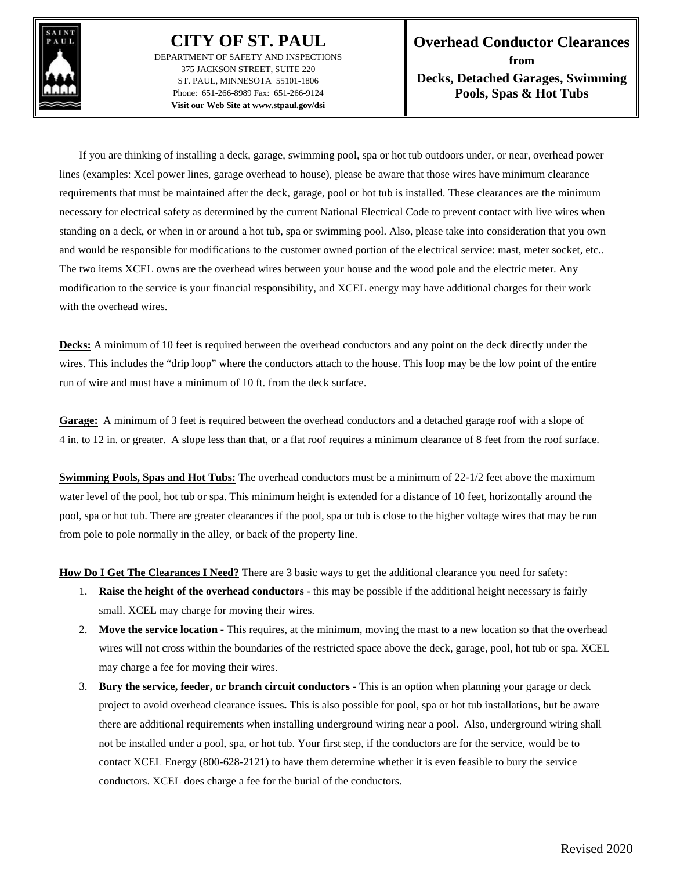

## **CITY OF ST. PAUL**

DEPARTMENT OF SAFETY AND INSPECTIONS 375 JACKSON STREET, SUITE 220 ST. PAUL, MINNESOTA 55101-1806 Phone: 651-266-8989 Fax: 651-266-9124 **Visit our Web Site at www.stpaul.gov/dsi**

If you are thinking of installing a deck, garage, swimming pool, spa or hot tub outdoors under, or near, overhead power lines (examples: Xcel power lines, garage overhead to house), please be aware that those wires have minimum clearance requirements that must be maintained after the deck, garage, pool or hot tub is installed. These clearances are the minimum necessary for electrical safety as determined by the current National Electrical Code to prevent contact with live wires when standing on a deck, or when in or around a hot tub, spa or swimming pool. Also, please take into consideration that you own and would be responsible for modifications to the customer owned portion of the electrical service: mast, meter socket, etc.. The two items XCEL owns are the overhead wires between your house and the wood pole and the electric meter. Any modification to the service is your financial responsibility, and XCEL energy may have additional charges for their work with the overhead wires.

**Decks:** A minimum of 10 feet is required between the overhead conductors and any point on the deck directly under the wires. This includes the "drip loop" where the conductors attach to the house. This loop may be the low point of the entire run of wire and must have a minimum of 10 ft. from the deck surface.

**Garage:** A minimum of 3 feet is required between the overhead conductors and a detached garage roof with a slope of 4 in. to 12 in. or greater. A slope less than that, or a flat roof requires a minimum clearance of 8 feet from the roof surface.

**Swimming Pools, Spas and Hot Tubs:** The overhead conductors must be a minimum of 22-1/2 feet above the maximum water level of the pool, hot tub or spa. This minimum height is extended for a distance of 10 feet, horizontally around the pool, spa or hot tub. There are greater clearances if the pool, spa or tub is close to the higher voltage wires that may be run from pole to pole normally in the alley, or back of the property line.

**How Do I Get The Clearances I Need?** There are 3 basic ways to get the additional clearance you need for safety:

- 1. **Raise the height of the overhead conductors -** this may be possible if the additional height necessary is fairly small. XCEL may charge for moving their wires.
- 2. **Move the service location -** This requires, at the minimum, moving the mast to a new location so that the overhead wires will not cross within the boundaries of the restricted space above the deck, garage, pool, hot tub or spa. XCEL may charge a fee for moving their wires.
- 3. **Bury the service, feeder, or branch circuit conductors -** This is an option when planning your garage or deck project to avoid overhead clearance issues**.** This is also possible for pool, spa or hot tub installations, but be aware there are additional requirements when installing underground wiring near a pool. Also, underground wiring shall not be installed <u>under</u> a pool, spa, or hot tub. Your first step, if the conductors are for the service, would be to contact XCEL Energy (800-628-2121) to have them determine whether it is even feasible to bury the service conductors. XCEL does charge a fee for the burial of the conductors.